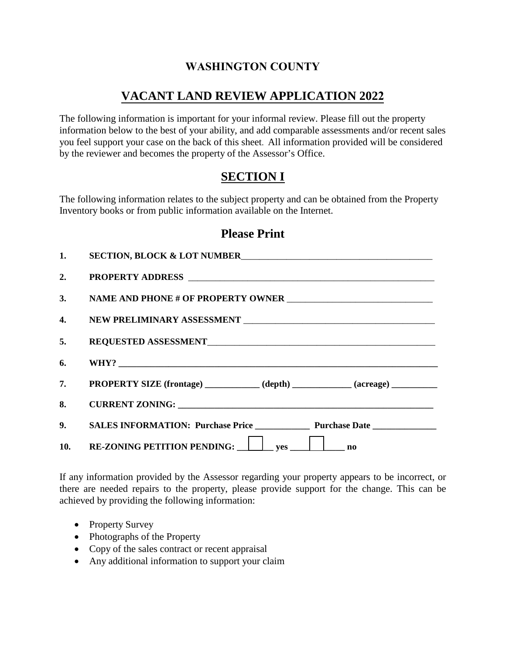## **WASHINGTON COUNTY**

## **VACANT LAND REVIEW APPLICATION 2022**

The following information is important for your informal review. Please fill out the property information below to the best of your ability, and add comparable assessments and/or recent sales you feel support your case on the back of this sheet. All information provided will be considered by the reviewer and becomes the property of the Assessor's Office.

## **SECTION I**

The following information relates to the subject property and can be obtained from the Property Inventory books or from public information available on the Internet.

### **Please Print**

| 1. | SECTION, BLOCK & LOT NUMBER                                                     |  |
|----|---------------------------------------------------------------------------------|--|
| 2. |                                                                                 |  |
|    |                                                                                 |  |
|    |                                                                                 |  |
|    |                                                                                 |  |
| 6. |                                                                                 |  |
|    | 7. PROPERTY SIZE (frontage) ___________ (depth) __________ (acreage) __________ |  |
| 8. |                                                                                 |  |
|    | 9. SALES INFORMATION: Purchase Price Purchase Date Purchase Date                |  |
|    | 10. RE-ZONING PETITION PENDING: yes in the mo                                   |  |

If any information provided by the Assessor regarding your property appears to be incorrect, or there are needed repairs to the property, please provide support for the change. This can be achieved by providing the following information:

- Property Survey
- Photographs of the Property
- Copy of the sales contract or recent appraisal
- Any additional information to support your claim